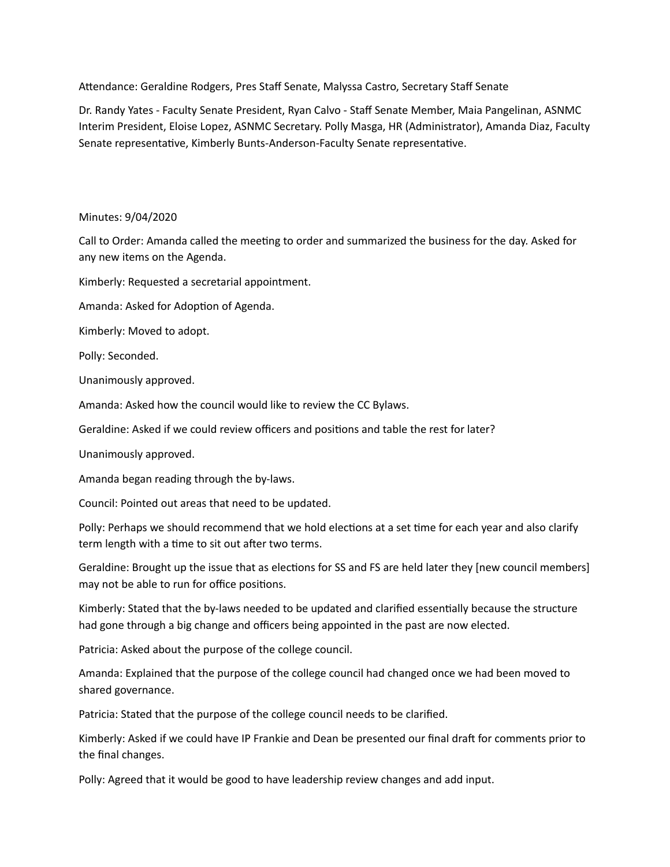Attendance: Geraldine Rodgers, Pres Staff Senate, Malyssa Castro, Secretary Staff Senate

Dr. Randy Yates - Faculty Senate President, Ryan Calvo - Staff Senate Member, Maia Pangelinan, ASNMC Interim President, Eloise Lopez, ASNMC Secretary. Polly Masga, HR (Administrator), Amanda Diaz, Faculty Senate representative, Kimberly Bunts-Anderson-Faculty Senate representative.

## Minutes: 9/04/2020

Call to Order: Amanda called the meeting to order and summarized the business for the day. Asked for any new items on the Agenda.

Kimberly: Requested a secretarial appointment.

Amanda: Asked for Adoption of Agenda.

Kimberly: Moved to adopt.

Polly: Seconded.

Unanimously approved.

Amanda: Asked how the council would like to review the CC Bylaws.

Geraldine: Asked if we could review officers and positions and table the rest for later?

Unanimously approved.

Amanda began reading through the by-laws.

Council: Pointed out areas that need to be updated.

Polly: Perhaps we should recommend that we hold elections at a set time for each year and also clarify term length with a time to sit out after two terms.

Geraldine: Brought up the issue that as elections for SS and FS are held later they [new council members] may not be able to run for office positions.

Kimberly: Stated that the by-laws needed to be updated and clarified essentially because the structure had gone through a big change and officers being appointed in the past are now elected.

Patricia: Asked about the purpose of the college council.

Amanda: Explained that the purpose of the college council had changed once we had been moved to shared governance.

Patricia: Stated that the purpose of the college council needs to be clarified.

Kimberly: Asked if we could have IP Frankie and Dean be presented our final draft for comments prior to the final changes.

Polly: Agreed that it would be good to have leadership review changes and add input.